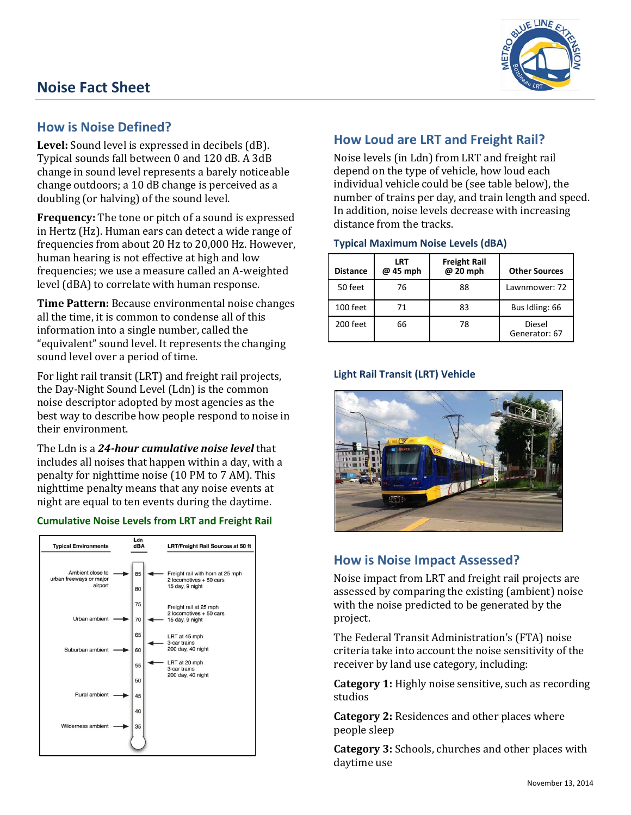# **Noise Fact Sheet**



# **How is Noise Defined?**

**Level:** Sound level is expressed in decibels (dB). Typical sounds fall between 0 and 120 dB. A 3dB change in sound level represents a barely noticeable change outdoors; a 10 dB change is perceived as a doubling (or halving) of the sound level.

**Frequency:** The tone or pitch of a sound is expressed in Hertz (Hz). Human ears can detect a wide range of frequencies from about 20 Hz to 20,000 Hz. However, human hearing is not effective at high and low frequencies; we use a measure called an A-weighted level (dBA) to correlate with human response.

**Time Pattern:** Because environmental noise changes all the time, it is common to condense all of this information into a single number, called the "equivalent" sound level. It represents the changing sound level over a period of time.

For light rail transit (LRT) and freight rail projects, the Day-Night Sound Level (Ldn) is the common noise descriptor adopted by most agencies as the best way to describe how people respond to noise in their environment.

The Ldn is a *24-hour cumulative noise level* that includes all noises that happen within a day, with a penalty for nighttime noise (10 PM to 7 AM). This nighttime penalty means that any noise events at night are equal to ten events during the daytime.

## **Cumulative Noise Levels from LRT and Freight Rail**



# **How Loud are LRT and Freight Rail?**

Noise levels (in Ldn) from LRT and freight rail depend on the type of vehicle, how loud each individual vehicle could be (see table below), the number of trains per day, and train length and speed. In addition, noise levels decrease with increasing distance from the tracks.

#### **Typical Maximum Noise Levels (dBA)**

| <b>Distance</b> | LRT<br>@ 45 mph | <b>Freight Rail</b><br>@ 20 mph | <b>Other Sources</b>    |
|-----------------|-----------------|---------------------------------|-------------------------|
| 50 feet         | 76              | 88                              | Lawnmower: 72           |
| 100 feet        | 71              | 83                              | Bus Idling: 66          |
| 200 feet        | 66              | 78                              | Diesel<br>Generator: 67 |

## **Light Rail Transit (LRT) Vehicle**



# **How is Noise Impact Assessed?**

Noise impact from LRT and freight rail projects are assessed by comparing the existing (ambient) noise with the noise predicted to be generated by the project.

The Federal Transit Administration's (FTA) noise criteria take into account the noise sensitivity of the receiver by land use category, including:

**Category 1:** Highly noise sensitive, such as recording studios

**Category 2:** Residences and other places where people sleep

**Category 3:** Schools, churches and other places with daytime use